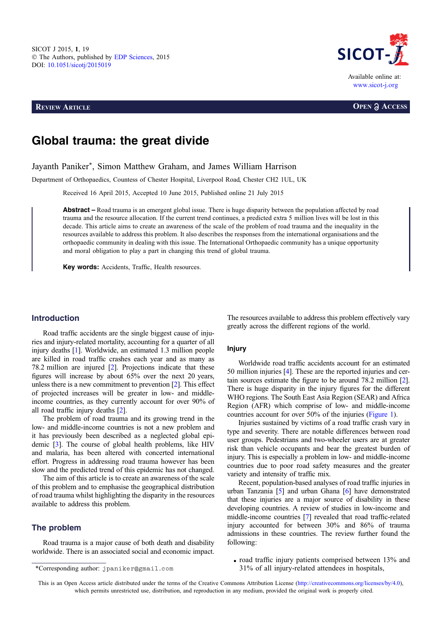**REVIEW ARTICLE OPEN a ACCESS** 



# Global trauma: the great divide

Jayanth Paniker\*, Simon Matthew Graham, and James William Harrison

Department of Orthopaedics, Countess of Chester Hospital, Liverpool Road, Chester CH2 1UL, UK

Received 16 April 2015, Accepted 10 June 2015, Published online 21 July 2015

Abstract – Road trauma is an emergent global issue. There is huge disparity between the population affected by road trauma and the resource allocation. If the current trend continues, a predicted extra 5 million lives will be lost in this decade. This article aims to create an awareness of the scale of the problem of road trauma and the inequality in the resources available to address this problem. It also describes the responses from the international organisations and the orthopaedic community in dealing with this issue. The International Orthopaedic community has a unique opportunity and moral obligation to play a part in changing this trend of global trauma.

Key words: Accidents, Traffic, Health resources.

# Introduction

Road traffic accidents are the single biggest cause of injuries and injury-related mortality, accounting for a quarter of all injury deaths [\[1\]](#page-4-0). Worldwide, an estimated 1.3 million people are killed in road traffic crashes each year and as many as 78.2 million are injured [\[2](#page-4-0)]. Projections indicate that these figures will increase by about 65% over the next 20 years, unless there is a new commitment to prevention [\[2](#page-4-0)]. This effect of projected increases will be greater in low- and middleincome countries, as they currently account for over 90% of all road traffic injury deaths [\[2\]](#page-4-0).

The problem of road trauma and its growing trend in the low- and middle-income countries is not a new problem and it has previously been described as a neglected global epidemic [\[3\]](#page-4-0). The course of global health problems, like HIV and malaria, has been altered with concerted international effort. Progress in addressing road trauma however has been slow and the predicted trend of this epidemic has not changed.

The aim of this article is to create an awareness of the scale of this problem and to emphasise the geographical distribution of road trauma whilst highlighting the disparity in the resources available to address this problem.

# The problem

Road trauma is a major cause of both death and disability worldwide. There is an associated social and economic impact. The resources available to address this problem effectively vary greatly across the different regions of the world.

## Injury

Worldwide road traffic accidents account for an estimated 50 million injuries [\[4](#page-4-0)]. These are the reported injuries and certain sources estimate the figure to be around 78.2 million [\[2](#page-4-0)]. There is huge disparity in the injury figures for the different WHO regions. The South East Asia Region (SEAR) and Africa Region (AFR) which comprise of low- and middle-income countries account for over 50% of the injuries ([Figure 1\)](#page-1-0).

Injuries sustained by victims of a road traffic crash vary in type and severity. There are notable differences between road user groups. Pedestrians and two-wheeler users are at greater risk than vehicle occupants and bear the greatest burden of injury. This is especially a problem in low- and middle-income countries due to poor road safety measures and the greater variety and intensity of traffic mix.

Recent, population-based analyses of road traffic injuries in urban Tanzania [\[5](#page-4-0)] and urban Ghana [\[6\]](#page-4-0) have demonstrated that these injuries are a major source of disability in these developing countries. A review of studies in low-income and middle-income countries [[7\]](#page-4-0) revealed that road traffic-related injury accounted for between 30% and 86% of trauma admissions in these countries. The review further found the following:

• road traffic injury patients comprised between 13% and \*Corresponding author: jpaniker@gmail.com 31% of all injury-related attendees in hospitals,

This is an Open Access article distributed under the terms of the Creative Commons Attribution License [\(http://creativecommons.org/licenses/by/4.0\)](http://creativecommons.org/licenses/by/4.0/), which permits unrestricted use, distribution, and reproduction in any medium, provided the original work is properly cited.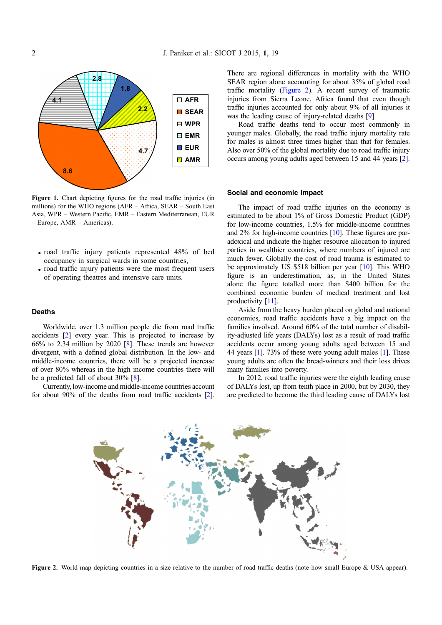<span id="page-1-0"></span>

Figure 1. Chart depicting figures for the road traffic injuries (in millions) for the WHO regions (AFR – Africa, SEAR – South East Asia, WPR – Western Pacific, EMR – Eastern Mediterranean, EUR – Europe, AMR – Americas).

- $\bullet$  road traffic injury patients represented 48% of bed occupancy in surgical wards in some countries,
- road traffic injury patients were the most frequent users of operating theatres and intensive care units.

#### Deaths

Worldwide, over 1.3 million people die from road traffic accidents [\[2](#page-4-0)] every year. This is projected to increase by 66% to 2.34 million by 2020 [\[8](#page-4-0)]. These trends are however divergent, with a defined global distribution. In the low- and middle-income countries, there will be a projected increase of over 80% whereas in the high income countries there will be a predicted fall of about 30% [[8\]](#page-4-0).

Currently, low-income and middle-income countries account for about 90% of the deaths from road traffic accidents [\[2](#page-4-0)]. There are regional differences in mortality with the WHO SEAR region alone accounting for about 35% of global road traffic mortality (Figure 2). A recent survey of traumatic injuries from Sierra Leone, Africa found that even though traffic injuries accounted for only about 9% of all injuries it was the leading cause of injury-related deaths [\[9\]](#page-4-0).

Road traffic deaths tend to occur most commonly in younger males. Globally, the road traffic injury mortality rate for males is almost three times higher than that for females. Also over 50% of the global mortality due to road traffic injury occurs among young adults aged between 15 and 44 years [\[2](#page-4-0)].

#### Social and economic impact

The impact of road traffic injuries on the economy is estimated to be about 1% of Gross Domestic Product (GDP) for low-income countries, 1.5% for middle-income countries and 2% for high-income countries [[10](#page-4-0)]. These figures are paradoxical and indicate the higher resource allocation to injured parties in wealthier countries, where numbers of injured are much fewer. Globally the cost of road trauma is estimated to be approximately US \$518 billion per year [\[10\]](#page-4-0). This WHO figure is an underestimation, as, in the United States alone the figure totalled more than \$400 billion for the combined economic burden of medical treatment and lost productivity [\[11\]](#page-4-0).

Aside from the heavy burden placed on global and national economies, road traffic accidents have a big impact on the families involved. Around 60% of the total number of disability-adjusted life years (DALYs) lost as a result of road traffic accidents occur among young adults aged between 15 and 44 years [\[1](#page-4-0)]. 73% of these were young adult males [\[1\]](#page-4-0). These young adults are often the bread-winners and their loss drives many families into poverty.

In 2012, road traffic injuries were the eighth leading cause of DALYs lost, up from tenth place in 2000, but by 2030, they are predicted to become the third leading cause of DALYs lost



Figure 2. World map depicting countries in a size relative to the number of road traffic deaths (note how small Europe & USA appear).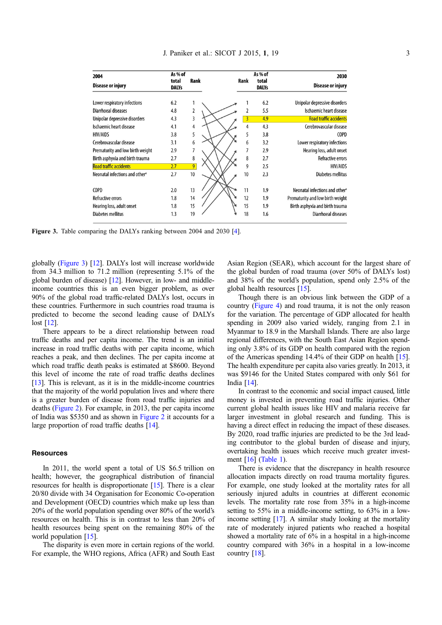| 2004<br><b>Disease or injury</b>           | As % of<br>total<br><b>DALYs</b> | Rank           | Rank | As % of<br>total<br><b>DALYs</b> | 2030<br>Disease or injury                  |
|--------------------------------------------|----------------------------------|----------------|------|----------------------------------|--------------------------------------------|
|                                            |                                  |                |      |                                  |                                            |
| Lower respiratory infections               | 6.2                              |                |      | 6.2                              | Unipolar depressive disorders              |
| Diarrhoeal diseases                        | 4.8                              | 2              |      | 5.5                              | Ischaemic heart disease                    |
| Unipolar depressive disorders              | 4.3                              | 3              | 3    | 4.9                              | <b>Road traffic accidents</b>              |
| Ischaemic heart disease                    | 4.1                              | 4              | 4    | 4.3                              | Cerebrovascular disease                    |
| <b>HIV/AIDS</b>                            | 3.8                              | 5              | 5    | 3.8                              | COPD                                       |
| Cerebrovascular disease                    | 3.1                              | 6              | 6    | 3.2                              | Lower respiratory infections               |
| Prematurity and low birth weight           | 2.9                              | 7              |      | 2.9                              | Hearing loss, adult onset                  |
| Birth asphyxia and birth trauma            | 2.7                              | 8              | 8    | 2.7                              | <b>Refractive errors</b>                   |
| <b>Road traffic accidents</b>              | 2.7                              | $\overline{9}$ | 9    | 2.5                              | <b>HIV/AIDS</b>                            |
| Neonatal infections and other <sup>®</sup> | 2.7                              | 10             | 10   | 2.3                              | <b>Diabetes mellitus</b>                   |
|                                            |                                  |                |      |                                  |                                            |
| <b>COPD</b>                                | 2.0                              | 13             | 11   | 1.9                              | Neonatal infections and other <sup>®</sup> |
| <b>Refractive errors</b>                   | 1.8                              | 14             | 12   | 1.9                              | Prematurity and low birth weight           |
| Hearing loss, adult onset                  | 1.8                              | 15             | 15   | 1.9                              | Birth asphyxia and birth trauma            |
| Diabetes mellitus                          | 1.3                              | 19             | 18   | 1.6                              | Diarrhoeal diseases                        |

Figure 3. Table comparing the DALYs ranking between 2004 and 2030 [[4](#page-4-0)].

globally (Figure 3) [\[12\]](#page-4-0). DALYs lost will increase worldwide from 34.3 million to 71.2 million (representing 5.1% of the global burden of disease) [\[12](#page-4-0)]. However, in low- and middleincome countries this is an even bigger problem, as over 90% of the global road traffic-related DALYs lost, occurs in these countries. Furthermore in such countries road trauma is predicted to become the second leading cause of DALYs lost [\[12\]](#page-4-0).

There appears to be a direct relationship between road traffic deaths and per capita income. The trend is an initial increase in road traffic deaths with per capita income, which reaches a peak, and then declines. The per capita income at which road traffic death peaks is estimated at \$8600. Beyond this level of income the rate of road traffic deaths declines [[13](#page-4-0)]. This is relevant, as it is in the middle-income countries that the majority of the world population lives and where there is a greater burden of disease from road traffic injuries and deaths [\(Figure 2](#page-1-0)). For example, in 2013, the per capita income of India was \$5350 and as shown in [Figure 2](#page-1-0) it accounts for a large proportion of road traffic deaths [[14\]](#page-5-0).

#### **Resources**

In 2011, the world spent a total of US \$6.5 trillion on health; however, the geographical distribution of financial resources for health is disproportionate [\[15](#page-5-0)]. There is a clear 20/80 divide with 34 Organisation for Economic Co-operation and Development (OECD) countries which make up less than 20% of the world population spending over 80% of the world's resources on health. This is in contrast to less than 20% of health resources being spent on the remaining 80% of the world population [\[15\]](#page-5-0).

The disparity is even more in certain regions of the world. For example, the WHO regions, Africa (AFR) and South East Asian Region (SEAR), which account for the largest share of the global burden of road trauma (over 50% of DALYs lost) and 38% of the world's population, spend only 2.5% of the global health resources [\[15\]](#page-5-0).

Though there is an obvious link between the GDP of a country [\(Figure 4\)](#page-3-0) and road trauma, it is not the only reason for the variation. The percentage of GDP allocated for health spending in 2009 also varied widely, ranging from 2.1 in Myanmar to 18.9 in the Marshall Islands. There are also large regional differences, with the South East Asian Region spending only 3.8% of its GDP on health compared with the region of the Americas spending 14.4% of their GDP on health [[15](#page-5-0)]. The health expenditure per capita also varies greatly. In 2013, it was \$9146 for the United States compared with only \$61 for India [\[14\]](#page-5-0).

In contrast to the economic and social impact caused, little money is invested in preventing road traffic injuries. Other current global health issues like HIV and malaria receive far larger investment in global research and funding. This is having a direct effect in reducing the impact of these diseases. By 2020, road traffic injuries are predicted to be the 3rd leading contributor to the global burden of disease and injury, overtaking health issues which receive much greater investment [[16](#page-5-0)] [\(Table 1\)](#page-3-0).

There is evidence that the discrepancy in health resource allocation impacts directly on road trauma mortality figures. For example, one study looked at the mortality rates for all seriously injured adults in countries at different economic levels. The mortality rate rose from 35% in a high-income setting to 55% in a middle-income setting, to 63% in a lowincome setting [[17](#page-5-0)]. A similar study looking at the mortality rate of moderately injured patients who reached a hospital showed a mortality rate of 6% in a hospital in a high-income country compared with 36% in a hospital in a low-income country [\[18\]](#page-5-0).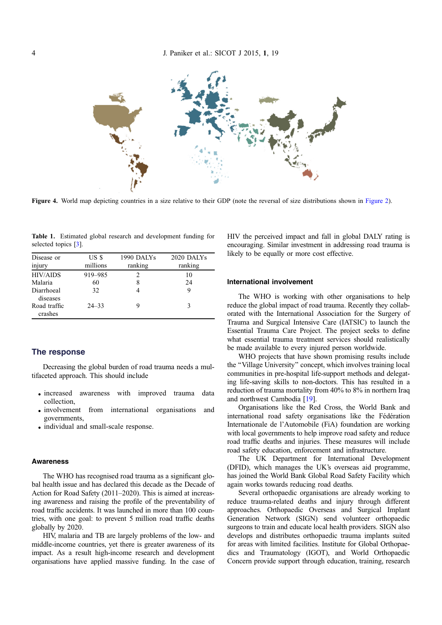<span id="page-3-0"></span>

Figure 4. World map depicting countries in a size relative to their GDP (note the reversal of size distributions shown in [Figure 2](#page-1-0)).

Table 1. Estimated global research and development funding for selected topics [\[3](#page-4-0)].

| Disease or              | US \$     | 1990 DALYs | 2020 DALYs |
|-------------------------|-----------|------------|------------|
| injury                  | millions  | ranking    | ranking    |
| <b>HIV/AIDS</b>         | 919-985   |            | 10         |
| Malaria                 | 60        |            | 24         |
| Diarrhoeal<br>diseases  | 32        |            | 9          |
| Road traffic<br>crashes | $24 - 33$ |            | 3          |

# The response

Decreasing the global burden of road trauma needs a multifaceted approach. This should include

- increased awareness with improved trauma data collection,
- involvement from international organisations and governments,
- individual and small-scale response.

## **Awareness**

The WHO has recognised road trauma as a significant global health issue and has declared this decade as the Decade of Action for Road Safety (2011–2020). This is aimed at increasing awareness and raising the profile of the preventability of road traffic accidents. It was launched in more than 100 countries, with one goal: to prevent 5 million road traffic deaths globally by 2020.

HIV, malaria and TB are largely problems of the low- and middle-income countries, yet there is greater awareness of its impact. As a result high-income research and development organisations have applied massive funding. In the case of HIV the perceived impact and fall in global DALY rating is encouraging. Similar investment in addressing road trauma is likely to be equally or more cost effective.

## International involvement

The WHO is working with other organisations to help reduce the global impact of road trauma. Recently they collaborated with the International Association for the Surgery of Trauma and Surgical Intensive Care (IATSIC) to launch the Essential Trauma Care Project. The project seeks to define what essential trauma treatment services should realistically be made available to every injured person worldwide.

WHO projects that have shown promising results include the ''Village University'' concept, which involves training local communities in pre-hospital life-support methods and delegating life-saving skills to non-doctors. This has resulted in a reduction of trauma mortality from 40% to 8% in northern Iraq and northwest Cambodia [[19\]](#page-5-0).

Organisations like the Red Cross, the World Bank and international road safety organisations like the Fédération Internationale de l'Automobile (FiA) foundation are working with local governments to help improve road safety and reduce road traffic deaths and injuries. These measures will include road safety education, enforcement and infrastructure.

The UK Department for International Development (DFID), which manages the UK's overseas aid programme, has joined the World Bank Global Road Safety Facility which again works towards reducing road deaths.

Several orthopaedic organisations are already working to reduce trauma-related deaths and injury through different approaches. Orthopaedic Overseas and Surgical Implant Generation Network (SIGN) send volunteer orthopaedic surgeons to train and educate local health providers. SIGN also develops and distributes orthopaedic trauma implants suited for areas with limited facilities. Institute for Global Orthopaedics and Traumatology (IGOT), and World Orthopaedic Concern provide support through education, training, research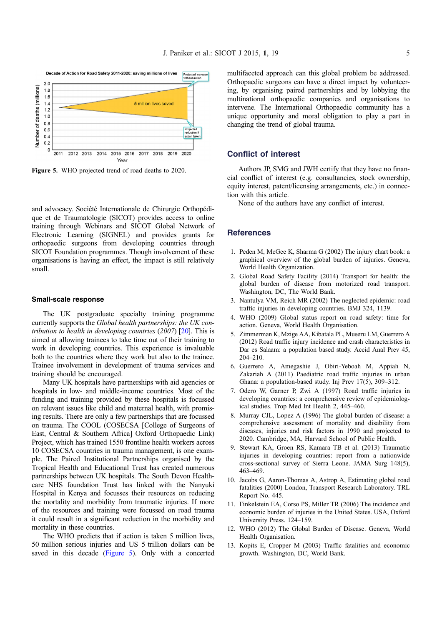<span id="page-4-0"></span>

Figure 5. WHO projected trend of road deaths to 2020.

and advocacy. Société Internationale de Chirurgie Orthopédique et de Traumatologie (SICOT) provides access to online training through Webinars and SICOT Global Network of Electronic Learning (SIGNEL) and provides grants for orthopaedic surgeons from developing countries through SICOT Foundation programmes. Though involvement of these organisations is having an effect, the impact is still relatively small.

#### Small-scale response

The UK postgraduate specialty training programme currently supports the Global health partnerships: the UK contribution to health in developing countries  $(2007)$  [\[20\]](#page-5-0). This is aimed at allowing trainees to take time out of their training to work in developing countries. This experience is invaluable both to the countries where they work but also to the trainee. Trainee involvement in development of trauma services and training should be encouraged.

Many UK hospitals have partnerships with aid agencies or hospitals in low- and middle-income countries. Most of the funding and training provided by these hospitals is focussed on relevant issues like child and maternal health, with promising results. There are only a few partnerships that are focussed on trauma. The COOL (COSECSA [College of Surgeons of East, Central & Southern Africa] Oxford Orthopaedic Link) Project, which has trained 1550 frontline health workers across 10 COSECSA countries in trauma management, is one example. The Paired Institutional Partnerships organised by the Tropical Health and Educational Trust has created numerous partnerships between UK hospitals. The South Devon Healthcare NHS foundation Trust has linked with the Nanyuki Hospital in Kenya and focusses their resources on reducing the mortality and morbidity from traumatic injuries. If more of the resources and training were focussed on road trauma it could result in a significant reduction in the morbidity and mortality in these countries.

The WHO predicts that if action is taken 5 million lives, 50 million serious injuries and US 5 trillion dollars can be saved in this decade (Figure 5). Only with a concerted multifaceted approach can this global problem be addressed. Orthopaedic surgeons can have a direct impact by volunteering, by organising paired partnerships and by lobbying the multinational orthopaedic companies and organisations to intervene. The International Orthopaedic community has a unique opportunity and moral obligation to play a part in changing the trend of global trauma.

# Conflict of interest

Authors JP, SMG and JWH certify that they have no financial conflict of interest (e.g. consultancies, stock ownership, equity interest, patent/licensing arrangements, etc.) in connection with this article.

None of the authors have any conflict of interest.

#### **References**

- 1. Peden M, McGee K, Sharma G (2002) The injury chart book: a graphical overview of the global burden of injuries. Geneva, World Health Organization.
- 2. Global Road Safety Facility (2014) Transport for health: the global burden of disease from motorized road transport. Washington, DC, The World Bank.
- 3. Nantulya VM, Reich MR (2002) The neglected epidemic: road traffic injuries in developing countries. BMJ 324, 1139.
- 4. WHO (2009) Global status report on road safety: time for action. Geneva, World Health Organisation.
- 5. Zimmerman K, Mzige AA, Kibatala PL, Museru LM, Guerrero A (2012) Road traffic injury incidence and crash characteristics in Dar es Salaam: a population based study. Accid Anal Prev 45, 204–210.
- 6. Guerrero A, Amegashie J, Obiri-Yeboah M, Appiah N, Zakariah A (2011) Paediatric road traffic injuries in urban Ghana: a population-based study. Inj Prev 17(5), 309–312.
- 7. Odero W, Garner P, Zwi A (1997) Road traffic injuries in developing countries: a comprehensive review of epidemiological studies. Trop Med Int Health 2, 445–460.
- 8. Murray CJL, Lopez A (1996) The global burden of disease: a comprehensive assessment of mortality and disability from diseases, injuries and risk factors in 1990 and projected to 2020. Cambridge, MA, Harvard School of Public Health.
- 9. Stewart KA, Groen RS, Kamara TB et al. (2013) Traumatic injuries in developing countries: report from a nationwide cross-sectional survey of Sierra Leone. JAMA Surg 148(5), 463–469.
- 10. Jacobs G, Aaron-Thomas A, Astrop A, Estimating global road fatalities (2000) London, Transport Research Laboratory. TRL Report No. 445.
- 11. Finkelstein EA, Corso PS, Miller TR (2006) The incidence and economic burden of injuries in the United States. USA, Oxford University Press. 124–159.
- 12. WHO (2012) The Global Burden of Disease. Geneva, World Health Organisation.
- 13. Kopits E, Cropper M (2003) Traffic fatalities and economic growth. Washington, DC, World Bank.